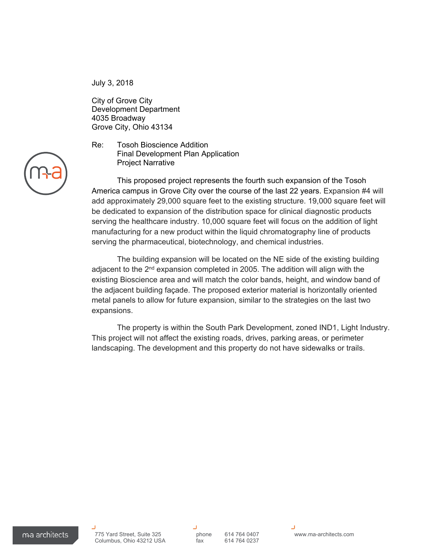July 3, 2018

City of Grove City Development Department 4035 Broadway Grove City, Ohio 43134

Re: Tosoh Bioscience Addition Final Development Plan Application Project Narrative

This proposed project represents the fourth such expansion of the Tosoh America campus in Grove City over the course of the last 22 years. Expansion #4 will add approximately 29,000 square feet to the existing structure. 19,000 square feet will be dedicated to expansion of the distribution space for clinical diagnostic products serving the healthcare industry. 10,000 square feet will focus on the addition of light manufacturing for a new product within the liquid chromatography line of products serving the pharmaceutical, biotechnology, and chemical industries.

The building expansion will be located on the NE side of the existing building adjacent to the 2<sup>nd</sup> expansion completed in 2005. The addition will align with the existing Bioscience area and will match the color bands, height, and window band of the adjacent building façade. The proposed exterior material is horizontally oriented metal panels to allow for future expansion, similar to the strategies on the last two expansions.

The property is within the South Park Development, zoned IND1, Light Industry. This project will not affect the existing roads, drives, parking areas, or perimeter landscaping. The development and this property do not have sidewalks or trails.

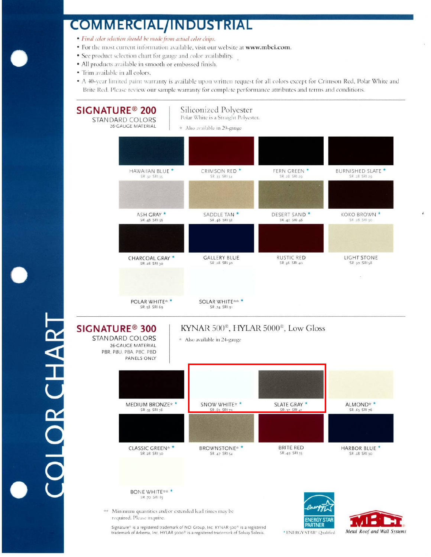## **COMMERCIAL/INDUSTRIAL**

- · Final color selection should be made from actual color chips.
- · For the most current information available, visit our website at www.mbci.com.
- See product selection chart for gauge and color availability.
- · All products available in smooth or embossed finish.
- Trim available in all colors.

**CHART OR CHART** 

• A 40-year limited paint warranty is available upon written request for all colors except for Crimson Red, Polar White and Brite Red. Please review our sample warranty for complete performance attributes and terms and conditions.



 $\mathcal I$ 

Metal Roof and Wall Systems

\* ENERGY STAR® Qualified

Signature® is a registered trademark of NCI Group, Inc. KYNAR 500<sup>®</sup> is a registered trademark of Arkema, Inc. HYLAR 5000<sup>®</sup> is a registered trademark of Solvay Solexis.